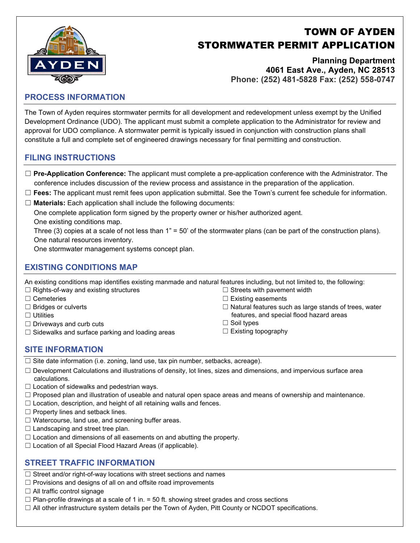# TOWN OF AYDEN STORMWATER PERMIT APPLICATION

**Planning Department 4061 East Ave., Ayden, NC 28513 Phone: (252) 481-5828 Fax: (252) 558-0747**

### **PROCESS INFORMATION**

The Town of Ayden requires stormwater permits for all development and redevelopment unless exempt by the Unified Development Ordinance (UDO). The applicant must submit a complete application to the Administrator for review and approval for UDO compliance. A stormwater permit is typically issued in conjunction with construction plans shall constitute a full and complete set of engineered drawings necessary for final permitting and construction.

### **FILING INSTRUCTIONS**

- ☐ **Pre-Application Conference:** The applicant must complete a pre-application conference with the Administrator. The conference includes discussion of the review process and assistance in the preparation of the application.
- ☐ **Fees:** The applicant must remit fees upon application submittal. See the Town's current fee schedule for information.
- ☐ **Materials:** Each application shall include the following documents:

One complete application form signed by the property owner or his/her authorized agent.

One existing conditions map.

Three (3) copies at a scale of not less than 1" = 50' of the stormwater plans (can be part of the construction plans). One natural resources inventory.

One stormwater management systems concept plan.

# **EXISTING CONDITIONS MAP**

An existing conditions map identifies existing manmade and natural features including, but not limited to, the following:

- ☐ Rights-of-way and existing structures
- ☐ Cemeteries
- □ Bridges or culverts
- ☐ Utilities
- $\Box$  Driveways and curb cuts
- $\Box$  Sidewalks and surface parking and loading areas
- $\Box$  Streets with pavement width  $\Box$  Existing easements
- $\Box$  Natural features such as large stands of trees, water
- features, and special flood hazard areas
- ☐ Soil types
- ☐ Existing topography

#### **SITE INFORMATION**

 $\Box$  Site date information (i.e. zoning, land use, tax pin number, setbacks, acreage).

- ☐ Development Calculations and illustrations of density, lot lines, sizes and dimensions, and impervious surface area calculations.
- $\Box$  Location of sidewalks and pedestrian ways.
- ☐ Proposed plan and illustration of useable and natural open space areas and means of ownership and maintenance.
- $\Box$  Location, description, and height of all retaining walls and fences.
- □ Property lines and setback lines.
- $\Box$  Watercourse, land use, and screening buffer areas.
- $\Box$  Landscaping and street tree plan.
- □ Location and dimensions of all easements on and abutting the property.
- □ Location of all Special Flood Hazard Areas (if applicable).

# **STREET TRAFFIC INFORMATION**

- □ Street and/or right-of-way locations with street sections and names
- $\Box$  Provisions and designs of all on and offsite road improvements
- $\Box$  All traffic control signage
- $\Box$  Plan-profile drawings at a scale of 1 in. = 50 ft. showing street grades and cross sections
- $\Box$  All other infrastructure system details per the Town of Ayden, Pitt County or NCDOT specifications.

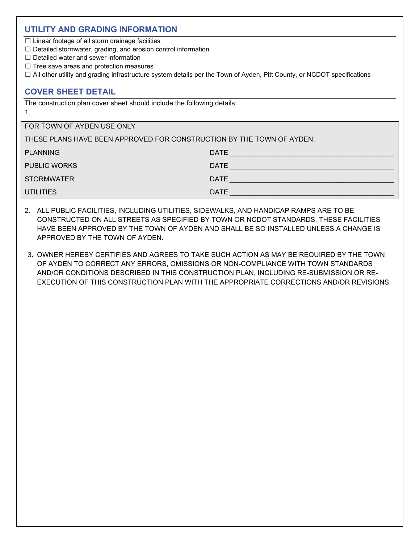#### **UTILITY AND GRADING INFORMATION**

 $\Box$  Linear footage of all storm drainage facilities

- ☐ Detailed stormwater, grading, and erosion control information
- $\Box$  Detailed water and sewer information
- ☐ Tree save areas and protection measures
- ☐ All other utility and grading infrastructure system details per the Town of Ayden, Pitt County, or NCDOT specifications

## **COVER SHEET DETAIL**

The construction plan cover sheet should include the following details: 1.

| FOR TOWN OF AYDEN USE ONLY                                            |             |
|-----------------------------------------------------------------------|-------------|
| THESE PLANS HAVE BEEN APPROVED FOR CONSTRUCTION BY THE TOWN OF AYDEN. |             |
| <b>PLANNING</b>                                                       | <b>DATE</b> |
| <b>PUBLIC WORKS</b>                                                   | DATE        |
| <b>STORMWATER</b>                                                     | <b>DATE</b> |
| <b>UTILITIES</b>                                                      | <b>DATE</b> |

- 2. ALL PUBLIC FACILITIES, INCLUDING UTILITIES, SIDEWALKS, AND HANDICAP RAMPS ARE TO BE CONSTRUCTED ON ALL STREETS AS SPECIFIED BY TOWN OR NCDOT STANDARDS. THESE FACILITIES HAVE BEEN APPROVED BY THE TOWN OF AYDEN AND SHALL BE SO INSTALLED UNLESS A CHANGE IS APPROVED BY THE TOWN OF AYDEN.
- 3. OWNER HEREBY CERTIFIES AND AGREES TO TAKE SUCH ACTION AS MAY BE REQUIRED BY THE TOWN OF AYDEN TO CORRECT ANY ERRORS, OMISSIONS OR NON-COMPLIANCE WITH TOWN STANDARDS AND/OR CONDITIONS DESCRIBED IN THIS CONSTRUCTION PLAN, INCLUDING RE-SUBMISSION OR RE-EXECUTION OF THIS CONSTRUCTION PLAN WITH THE APPROPRIATE CORRECTIONS AND/OR REVISIONS.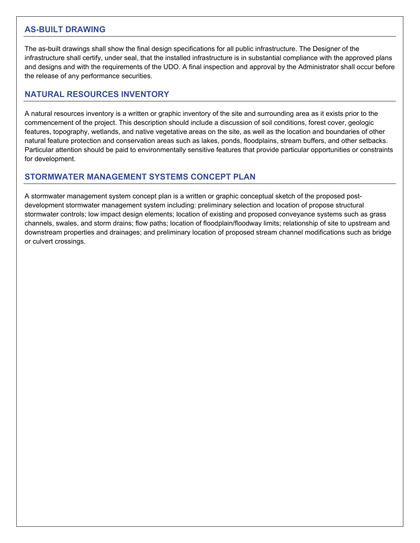#### **AS-BUILT DRAWING**

The as-built drawings shall show the final design specifications for all public infrastructure. The Designer of the infrastructure shall certify, under seal, that the installed infrastructure is in substantial compliance with the approved plans and designs and with the requirements of the UDO. A final inspection and approval by the Administrator shall occur before the release of any performance securities.

## **NATURAL RESOURCES INVENTORY**

A natural resources inventory is a written or graphic inventory of the site and surrounding area as it exists prior to the commencement of the project. This description should include a discussion of soil conditions, forest cover, geologic features, topography, wetlands, and native vegetative areas on the site, as well as the location and boundaries of other natural feature protection and conservation areas such as lakes, ponds, floodplains, stream buffers, and other setbacks. Particular attention should be paid to environmentally sensitive features that provide particular opportunities or constraints for development.

# **STORMWATER MANAGEMENT SYSTEMS CONCEPT PLAN**

A stormwater management system concept plan is a written or graphic conceptual sketch of the proposed postdevelopment stormwater management system including: preliminary selection and location of propose structural stormwater controls; low impact design elements; location of existing and proposed conveyance systems such as grass channels, swales, and storm drains; flow paths; location of floodplain/floodway limits; relationship of site to upstream and downstream properties and drainages; and preliminary location of proposed stream channel modifications such as bridge or culvert crossings.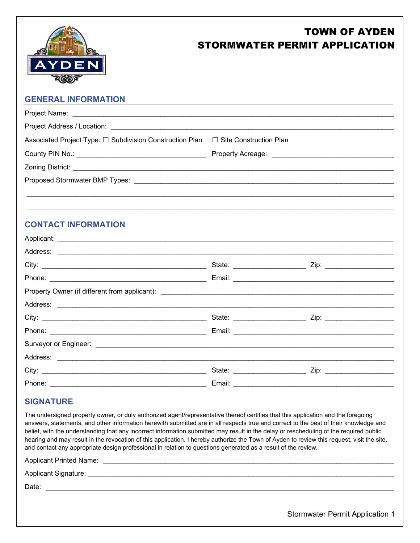

# TOWN OF AYDEN STORMWATER PERMIT APPLICATION

| $\sim$                                                   |                          |      |
|----------------------------------------------------------|--------------------------|------|
| <b>GENERAL INFORMATION</b>                               |                          |      |
|                                                          |                          |      |
|                                                          |                          |      |
| Associated Project Type: □ Subdivision Construction Plan | □ Site Construction Plan |      |
|                                                          |                          |      |
|                                                          |                          |      |
|                                                          |                          |      |
|                                                          |                          |      |
|                                                          |                          |      |
| <b>CONTACT INFORMATION</b>                               |                          |      |
|                                                          |                          |      |
|                                                          |                          |      |
|                                                          |                          |      |
|                                                          |                          |      |
|                                                          |                          |      |
|                                                          |                          |      |
| City:                                                    | State:                   | Zip: |

| Phone:   | Email:<br>the contract of the contract of the contract of the contract of the contract of the contract of the contract of |
|----------|---------------------------------------------------------------------------------------------------------------------------|
|          |                                                                                                                           |
| Address: |                                                                                                                           |
| City:    | State:<br>Zip:                                                                                                            |
| Phone:   | Email:                                                                                                                    |

# **SIGNATURE**

The undersigned property owner, or duly authorized agent/representative thereof certifies that this application and the foregoing answers, statements, and other information herewith submitted are in all respects true and correct to the best of their knowledge and belief, with the understanding that any incorrect information submitted may result in the delay or rescheduling of the required public hearing and may result in the revocation of this application. I hereby authorize the Town of Ayden to review this request, visit the site, and contact any appropriate design professional in relation to questions generated as a result of the review.

Applicant Printed Name: \_\_\_\_\_\_\_\_\_\_\_\_\_\_\_\_\_\_\_\_\_\_\_\_\_\_\_\_\_\_\_\_\_\_\_\_\_\_\_\_\_\_\_\_\_\_\_\_\_\_\_\_\_\_\_\_\_\_\_\_\_\_\_\_\_\_\_\_\_\_\_\_\_\_\_\_

Applicant Signature:  $\blacksquare$ 

Date: \_\_\_\_\_\_\_\_\_\_\_\_\_\_\_\_\_\_\_\_\_\_\_\_\_\_\_\_\_\_\_\_\_\_\_\_\_\_\_\_\_\_\_\_\_\_\_\_\_\_\_\_\_\_\_\_\_\_\_\_\_\_\_\_\_\_\_\_\_\_\_\_\_\_\_\_\_\_\_\_\_\_\_\_\_\_\_\_\_\_\_

Stormwater Permit Application 1